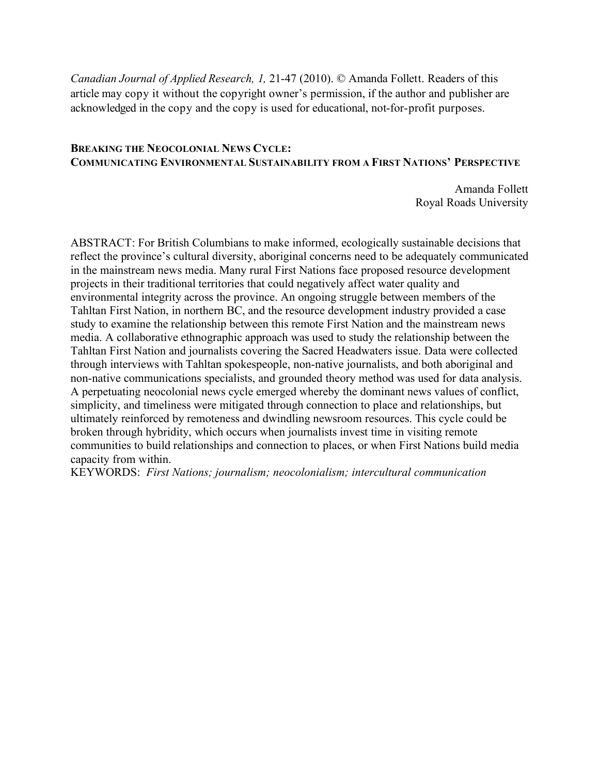*Canadian Journal of Applied Research, 1,* 21-47 (2010). © Amanda Follett. Readers of this article may copy it without the copyright owner's permission, if the author and publisher are acknowledged in the copy and the copy is used for educational, not-for-profit purposes.

### **BREAKING THE NEOCOLONIAL NEWS CYCLE: COMMUNICATING ENVIRONMENTAL SUSTAINABILITY FROM A FIRST NATIONS' PERSPECTIVE**

Amanda Follett Royal Roads University

ABSTRACT: For British Columbians to make informed, ecologically sustainable decisions that reflect the province's cultural diversity, aboriginal concerns need to be adequately communicated in the mainstream news media. Many rural First Nations face proposed resource development projects in their traditional territories that could negatively affect water quality and environmental integrity across the province. An ongoing struggle between members of the Tahltan First Nation, in northern BC, and the resource development industry provided a case study to examine the relationship between this remote First Nation and the mainstream news media. A collaborative ethnographic approach was used to study the relationship between the Tahltan First Nation and journalists covering the Sacred Headwaters issue. Data were collected through interviews with Tahltan spokespeople, non-native journalists, and both aboriginal and non-native communications specialists, and grounded theory method was used for data analysis. A perpetuating neocolonial news cycle emerged whereby the dominant news values of conflict, simplicity, and timeliness were mitigated through connection to place and relationships, but ultimately reinforced by remoteness and dwindling newsroom resources. This cycle could be broken through hybridity, which occurs when journalists invest time in visiting remote communities to build relationships and connection to places, or when First Nations build media capacity from within.

KEYWORDS: *First Nations; journalism; neocolonialism; intercultural communication*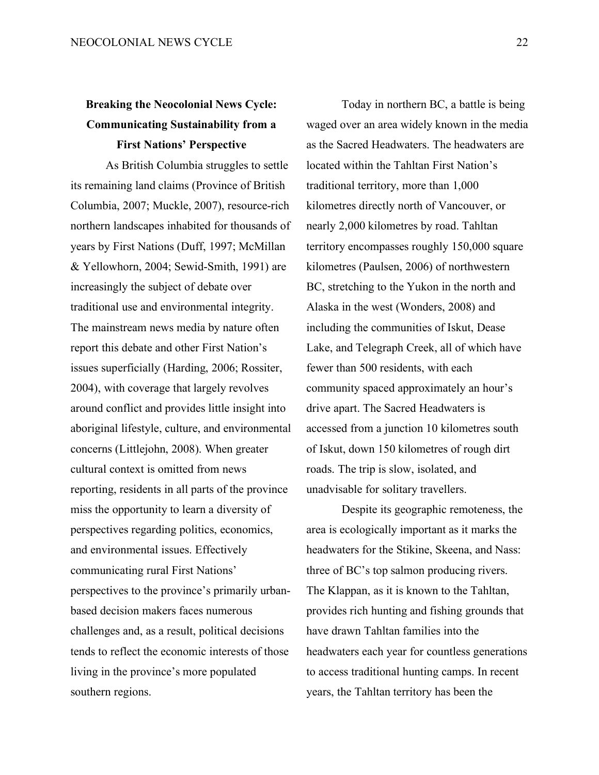# **Breaking the Neocolonial News Cycle: Communicating Sustainability from a First Nations' Perspective**

As British Columbia struggles to settle its remaining land claims (Province of British Columbia, 2007; Muckle, 2007), resource-rich northern landscapes inhabited for thousands of years by First Nations (Duff, 1997; McMillan & Yellowhorn, 2004; Sewid-Smith, 1991) are increasingly the subject of debate over traditional use and environmental integrity. The mainstream news media by nature often report this debate and other First Nation's issues superficially (Harding, 2006; Rossiter, 2004), with coverage that largely revolves around conflict and provides little insight into aboriginal lifestyle, culture, and environmental concerns (Littlejohn, 2008). When greater cultural context is omitted from news reporting, residents in all parts of the province miss the opportunity to learn a diversity of perspectives regarding politics, economics, and environmental issues. Effectively communicating rural First Nations' perspectives to the province's primarily urbanbased decision makers faces numerous challenges and, as a result, political decisions tends to reflect the economic interests of those living in the province's more populated southern regions.

Today in northern BC, a battle is being waged over an area widely known in the media as the Sacred Headwaters. The headwaters are located within the Tahltan First Nation's traditional territory, more than 1,000 kilometres directly north of Vancouver, or nearly 2,000 kilometres by road. Tahltan territory encompasses roughly 150,000 square kilometres (Paulsen, 2006) of northwestern BC, stretching to the Yukon in the north and Alaska in the west (Wonders, 2008) and including the communities of Iskut, Dease Lake, and Telegraph Creek, all of which have fewer than 500 residents, with each community spaced approximately an hour's drive apart. The Sacred Headwaters is accessed from a junction 10 kilometres south of Iskut, down 150 kilometres of rough dirt roads. The trip is slow, isolated, and unadvisable for solitary travellers.

Despite its geographic remoteness, the area is ecologically important as it marks the headwaters for the Stikine, Skeena, and Nass: three of BC's top salmon producing rivers. The Klappan, as it is known to the Tahltan, provides rich hunting and fishing grounds that have drawn Tahltan families into the headwaters each year for countless generations to access traditional hunting camps. In recent years, the Tahltan territory has been the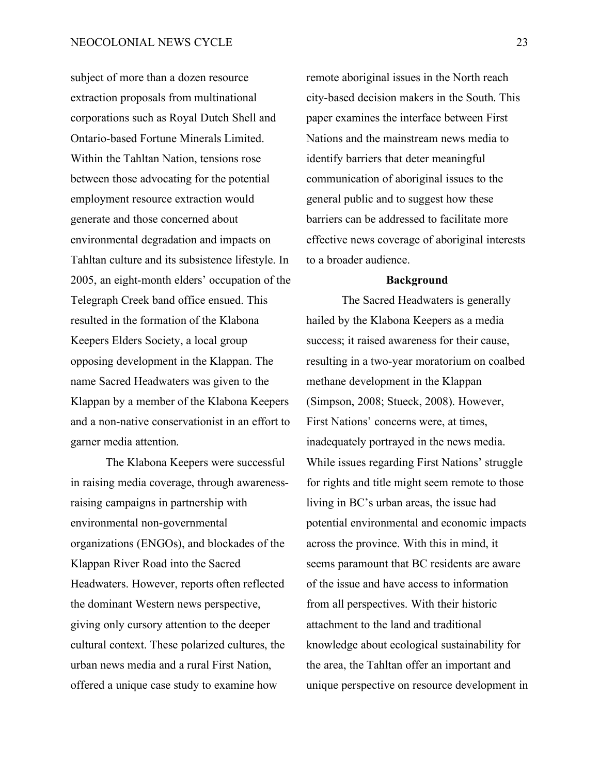subject of more than a dozen resource extraction proposals from multinational corporations such as Royal Dutch Shell and Ontario-based Fortune Minerals Limited. Within the Tahltan Nation, tensions rose between those advocating for the potential employment resource extraction would generate and those concerned about environmental degradation and impacts on Tahltan culture and its subsistence lifestyle. In 2005, an eight-month elders' occupation of the Telegraph Creek band office ensued. This resulted in the formation of the Klabona Keepers Elders Society, a local group opposing development in the Klappan. The name Sacred Headwaters was given to the Klappan by a member of the Klabona Keepers and a non-native conservationist in an effort to garner media attention.

The Klabona Keepers were successful in raising media coverage, through awarenessraising campaigns in partnership with environmental non-governmental organizations (ENGOs), and blockades of the Klappan River Road into the Sacred Headwaters. However, reports often reflected the dominant Western news perspective, giving only cursory attention to the deeper cultural context. These polarized cultures, the urban news media and a rural First Nation, offered a unique case study to examine how

remote aboriginal issues in the North reach city-based decision makers in the South. This paper examines the interface between First Nations and the mainstream news media to identify barriers that deter meaningful communication of aboriginal issues to the general public and to suggest how these barriers can be addressed to facilitate more effective news coverage of aboriginal interests to a broader audience.

#### **Background**

The Sacred Headwaters is generally hailed by the Klabona Keepers as a media success; it raised awareness for their cause, resulting in a two-year moratorium on coalbed methane development in the Klappan (Simpson, 2008; Stueck, 2008). However, First Nations' concerns were, at times, inadequately portrayed in the news media. While issues regarding First Nations' struggle for rights and title might seem remote to those living in BC's urban areas, the issue had potential environmental and economic impacts across the province. With this in mind, it seems paramount that BC residents are aware of the issue and have access to information from all perspectives. With their historic attachment to the land and traditional knowledge about ecological sustainability for the area, the Tahltan offer an important and unique perspective on resource development in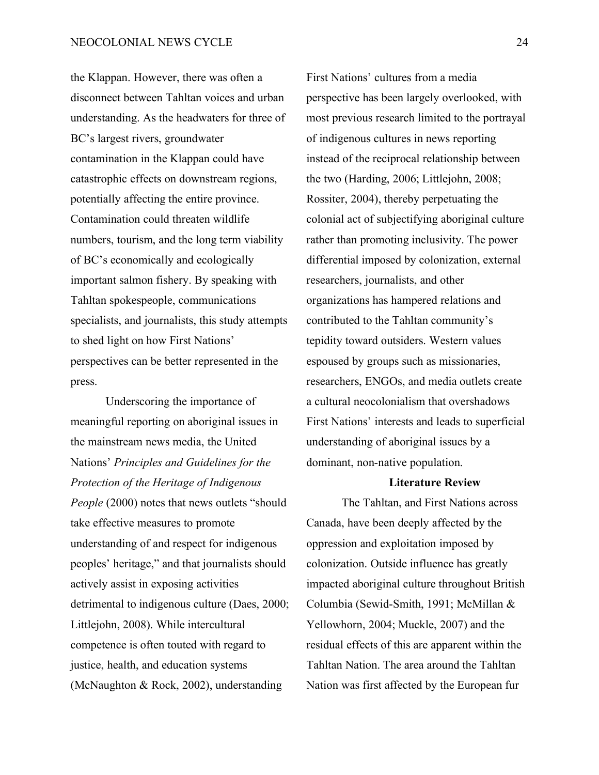the Klappan. However, there was often a disconnect between Tahltan voices and urban understanding. As the headwaters for three of BC's largest rivers, groundwater contamination in the Klappan could have catastrophic effects on downstream regions, potentially affecting the entire province. Contamination could threaten wildlife numbers, tourism, and the long term viability of BC's economically and ecologically important salmon fishery. By speaking with Tahltan spokespeople, communications specialists, and journalists, this study attempts to shed light on how First Nations' perspectives can be better represented in the press.

Underscoring the importance of meaningful reporting on aboriginal issues in the mainstream news media, the United Nations' *Principles and Guidelines for the Protection of the Heritage of Indigenous People* (2000) notes that news outlets "should take effective measures to promote understanding of and respect for indigenous peoples' heritage," and that journalists should actively assist in exposing activities detrimental to indigenous culture (Daes, 2000; Littlejohn, 2008). While intercultural competence is often touted with regard to justice, health, and education systems (McNaughton & Rock, 2002), understanding

First Nations' cultures from a media perspective has been largely overlooked, with most previous research limited to the portrayal of indigenous cultures in news reporting instead of the reciprocal relationship between the two (Harding, 2006; Littlejohn, 2008; Rossiter, 2004), thereby perpetuating the colonial act of subjectifying aboriginal culture rather than promoting inclusivity. The power differential imposed by colonization, external researchers, journalists, and other organizations has hampered relations and contributed to the Tahltan community's tepidity toward outsiders. Western values espoused by groups such as missionaries, researchers, ENGOs, and media outlets create a cultural neocolonialism that overshadows First Nations' interests and leads to superficial understanding of aboriginal issues by a dominant, non-native population.

## **Literature Review**

The Tahltan, and First Nations across Canada, have been deeply affected by the oppression and exploitation imposed by colonization. Outside influence has greatly impacted aboriginal culture throughout British Columbia (Sewid-Smith, 1991; McMillan & Yellowhorn, 2004; Muckle, 2007) and the residual effects of this are apparent within the Tahltan Nation. The area around the Tahltan Nation was first affected by the European fur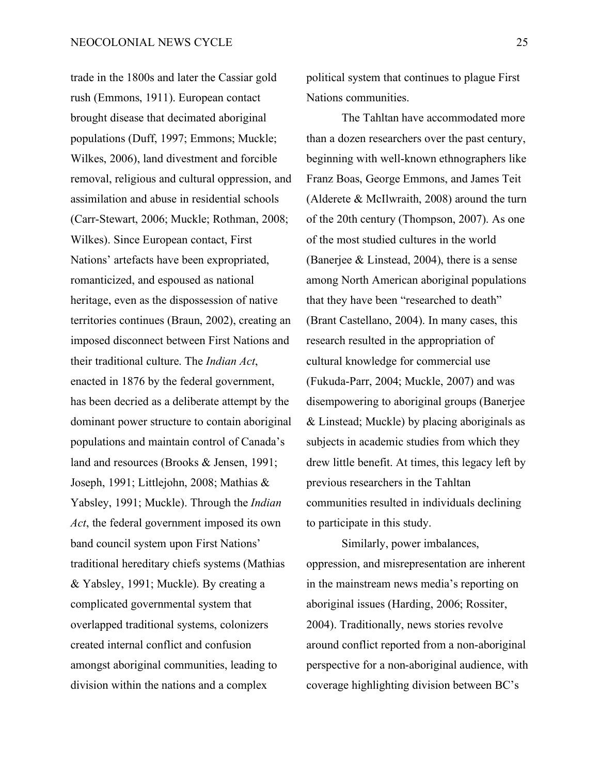trade in the 1800s and later the Cassiar gold rush (Emmons, 1911). European contact brought disease that decimated aboriginal populations (Duff, 1997; Emmons; Muckle; Wilkes, 2006), land divestment and forcible removal, religious and cultural oppression, and assimilation and abuse in residential schools (Carr-Stewart, 2006; Muckle; Rothman, 2008; Wilkes). Since European contact, First Nations' artefacts have been expropriated, romanticized, and espoused as national heritage, even as the dispossession of native territories continues (Braun, 2002), creating an imposed disconnect between First Nations and their traditional culture. The *Indian Act*, enacted in 1876 by the federal government, has been decried as a deliberate attempt by the dominant power structure to contain aboriginal populations and maintain control of Canada's land and resources (Brooks & Jensen, 1991; Joseph, 1991; Littlejohn, 2008; Mathias & Yabsley, 1991; Muckle). Through the *Indian Act*, the federal government imposed its own band council system upon First Nations' traditional hereditary chiefs systems (Mathias & Yabsley, 1991; Muckle). By creating a complicated governmental system that overlapped traditional systems, colonizers created internal conflict and confusion amongst aboriginal communities, leading to division within the nations and a complex

political system that continues to plague First Nations communities.

The Tahltan have accommodated more than a dozen researchers over the past century, beginning with well-known ethnographers like Franz Boas, George Emmons, and James Teit (Alderete & McIlwraith, 2008) around the turn of the 20th century (Thompson, 2007). As one of the most studied cultures in the world (Banerjee & Linstead, 2004), there is a sense among North American aboriginal populations that they have been "researched to death" (Brant Castellano, 2004). In many cases, this research resulted in the appropriation of cultural knowledge for commercial use (Fukuda-Parr, 2004; Muckle, 2007) and was disempowering to aboriginal groups (Banerjee & Linstead; Muckle) by placing aboriginals as subjects in academic studies from which they drew little benefit. At times, this legacy left by previous researchers in the Tahltan communities resulted in individuals declining to participate in this study.

Similarly, power imbalances, oppression, and misrepresentation are inherent in the mainstream news media's reporting on aboriginal issues (Harding, 2006; Rossiter, 2004). Traditionally, news stories revolve around conflict reported from a non-aboriginal perspective for a non-aboriginal audience, with coverage highlighting division between BC's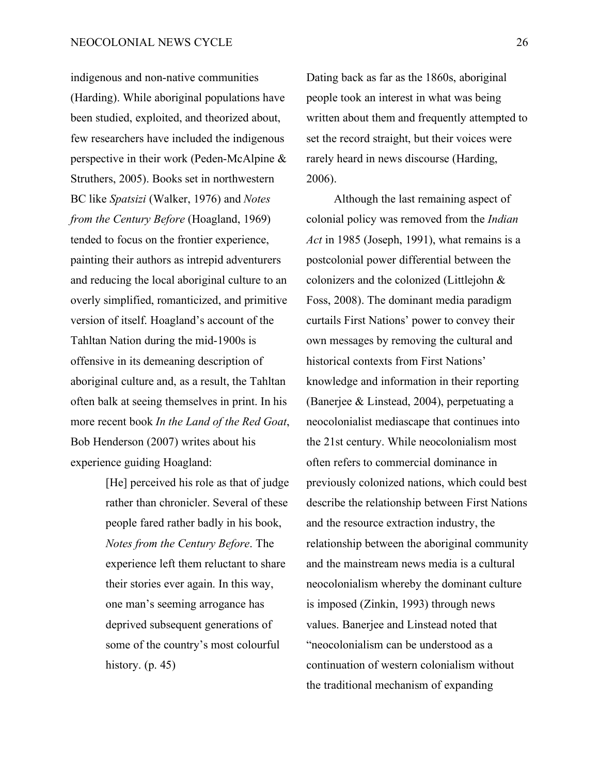indigenous and non-native communities (Harding). While aboriginal populations have been studied, exploited, and theorized about, few researchers have included the indigenous perspective in their work (Peden-McAlpine & Struthers, 2005). Books set in northwestern BC like *Spatsizi* (Walker, 1976) and *Notes from the Century Before* (Hoagland, 1969) tended to focus on the frontier experience, painting their authors as intrepid adventurers and reducing the local aboriginal culture to an overly simplified, romanticized, and primitive version of itself. Hoagland's account of the Tahltan Nation during the mid-1900s is offensive in its demeaning description of aboriginal culture and, as a result, the Tahltan often balk at seeing themselves in print. In his more recent book *In the Land of the Red Goat*, Bob Henderson (2007) writes about his experience guiding Hoagland:

> [He] perceived his role as that of judge rather than chronicler. Several of these people fared rather badly in his book, *Notes from the Century Before*. The experience left them reluctant to share their stories ever again. In this way, one man's seeming arrogance has deprived subsequent generations of some of the country's most colourful history.  $(p. 45)$

Dating back as far as the 1860s, aboriginal people took an interest in what was being written about them and frequently attempted to set the record straight, but their voices were rarely heard in news discourse (Harding, 2006).

Although the last remaining aspect of colonial policy was removed from the *Indian Act* in 1985 (Joseph, 1991), what remains is a postcolonial power differential between the colonizers and the colonized (Littlejohn & Foss, 2008). The dominant media paradigm curtails First Nations' power to convey their own messages by removing the cultural and historical contexts from First Nations' knowledge and information in their reporting (Banerjee & Linstead, 2004), perpetuating a neocolonialist mediascape that continues into the 21st century. While neocolonialism most often refers to commercial dominance in previously colonized nations, which could best describe the relationship between First Nations and the resource extraction industry, the relationship between the aboriginal community and the mainstream news media is a cultural neocolonialism whereby the dominant culture is imposed (Zinkin, 1993) through news values. Banerjee and Linstead noted that "neocolonialism can be understood as a continuation of western colonialism without the traditional mechanism of expanding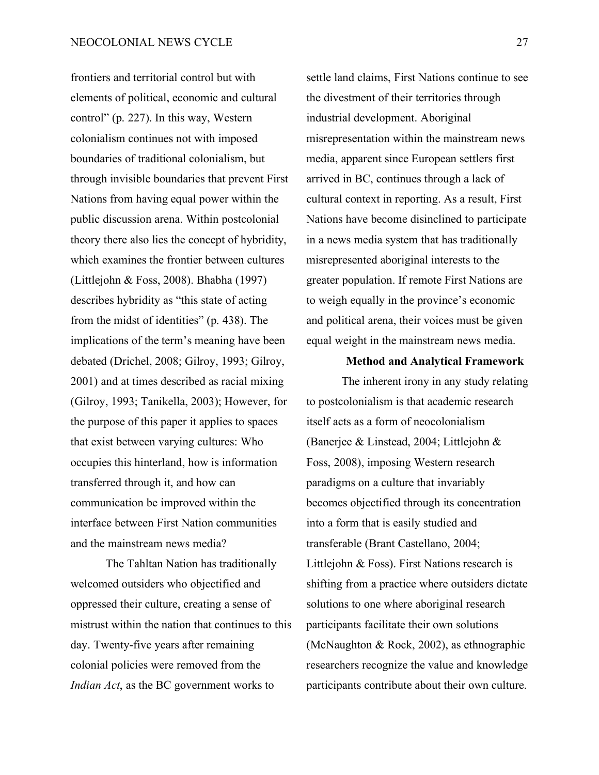frontiers and territorial control but with elements of political, economic and cultural control" (p. 227). In this way, Western colonialism continues not with imposed boundaries of traditional colonialism, but through invisible boundaries that prevent First Nations from having equal power within the public discussion arena. Within postcolonial theory there also lies the concept of hybridity, which examines the frontier between cultures (Littlejohn & Foss, 2008). Bhabha (1997) describes hybridity as "this state of acting from the midst of identities" (p. 438). The implications of the term's meaning have been debated (Drichel, 2008; Gilroy, 1993; Gilroy, 2001) and at times described as racial mixing (Gilroy, 1993; Tanikella, 2003); However, for the purpose of this paper it applies to spaces that exist between varying cultures: Who occupies this hinterland, how is information transferred through it, and how can communication be improved within the interface between First Nation communities and the mainstream news media?

The Tahltan Nation has traditionally welcomed outsiders who objectified and oppressed their culture, creating a sense of mistrust within the nation that continues to this day. Twenty-five years after remaining colonial policies were removed from the *Indian Act*, as the BC government works to

settle land claims, First Nations continue to see the divestment of their territories through industrial development. Aboriginal misrepresentation within the mainstream news media, apparent since European settlers first arrived in BC, continues through a lack of cultural context in reporting. As a result, First Nations have become disinclined to participate in a news media system that has traditionally misrepresented aboriginal interests to the greater population. If remote First Nations are to weigh equally in the province's economic and political arena, their voices must be given equal weight in the mainstream news media.

## **Method and Analytical Framework**

The inherent irony in any study relating to postcolonialism is that academic research itself acts as a form of neocolonialism (Banerjee & Linstead, 2004; Littlejohn & Foss, 2008), imposing Western research paradigms on a culture that invariably becomes objectified through its concentration into a form that is easily studied and transferable (Brant Castellano, 2004; Littlejohn & Foss). First Nations research is shifting from a practice where outsiders dictate solutions to one where aboriginal research participants facilitate their own solutions (McNaughton & Rock, 2002), as ethnographic researchers recognize the value and knowledge participants contribute about their own culture.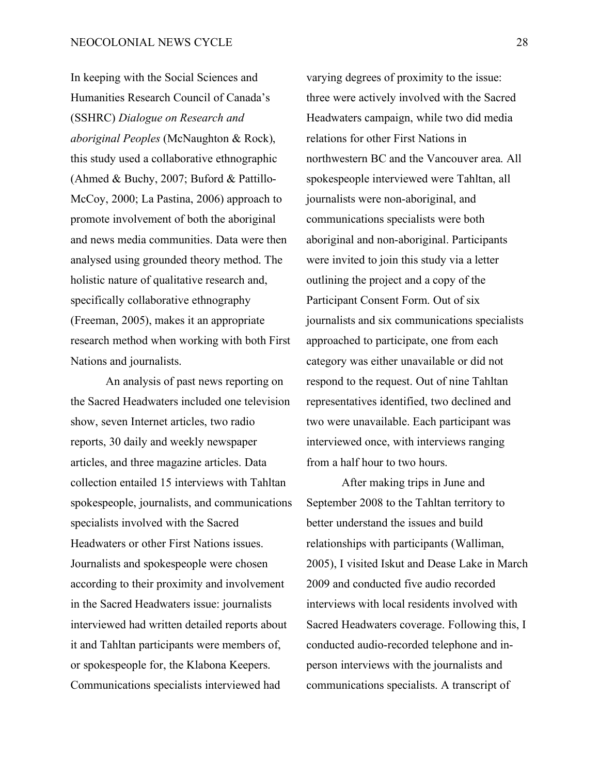In keeping with the Social Sciences and Humanities Research Council of Canada's (SSHRC) *Dialogue on Research and aboriginal Peoples* (McNaughton & Rock), this study used a collaborative ethnographic (Ahmed & Buchy, 2007; Buford & Pattillo-McCoy, 2000; La Pastina, 2006) approach to promote involvement of both the aboriginal and news media communities. Data were then analysed using grounded theory method. The holistic nature of qualitative research and, specifically collaborative ethnography (Freeman, 2005), makes it an appropriate research method when working with both First Nations and journalists.

An analysis of past news reporting on the Sacred Headwaters included one television show, seven Internet articles, two radio reports, 30 daily and weekly newspaper articles, and three magazine articles. Data collection entailed 15 interviews with Tahltan spokespeople, journalists, and communications specialists involved with the Sacred Headwaters or other First Nations issues. Journalists and spokespeople were chosen according to their proximity and involvement in the Sacred Headwaters issue: journalists interviewed had written detailed reports about it and Tahltan participants were members of, or spokespeople for, the Klabona Keepers. Communications specialists interviewed had

varying degrees of proximity to the issue: three were actively involved with the Sacred Headwaters campaign, while two did media relations for other First Nations in northwestern BC and the Vancouver area. All spokespeople interviewed were Tahltan, all journalists were non-aboriginal, and communications specialists were both aboriginal and non-aboriginal. Participants were invited to join this study via a letter outlining the project and a copy of the Participant Consent Form. Out of six journalists and six communications specialists approached to participate, one from each category was either unavailable or did not respond to the request. Out of nine Tahltan representatives identified, two declined and two were unavailable. Each participant was interviewed once, with interviews ranging from a half hour to two hours.

After making trips in June and September 2008 to the Tahltan territory to better understand the issues and build relationships with participants (Walliman, 2005), I visited Iskut and Dease Lake in March 2009 and conducted five audio recorded interviews with local residents involved with Sacred Headwaters coverage. Following this, I conducted audio-recorded telephone and inperson interviews with the journalists and communications specialists. A transcript of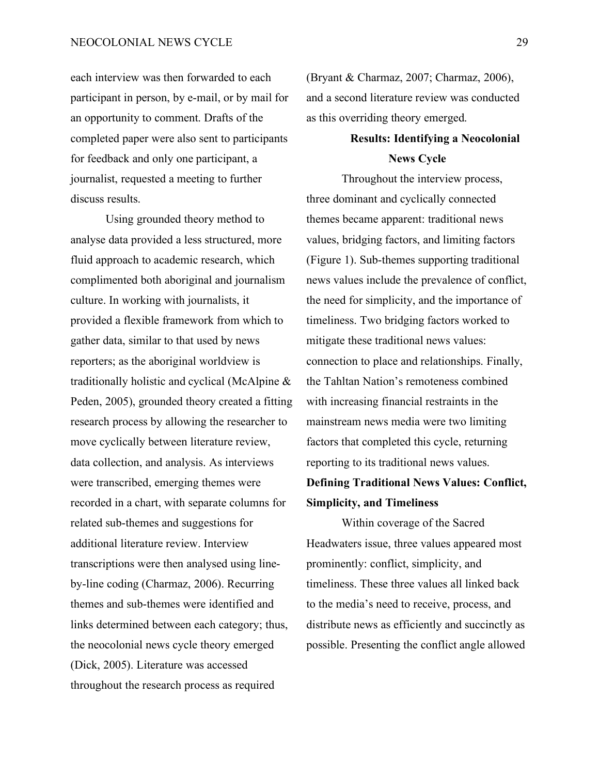each interview was then forwarded to each participant in person, by e-mail, or by mail for an opportunity to comment. Drafts of the completed paper were also sent to participants for feedback and only one participant, a journalist, requested a meeting to further discuss results.

Using grounded theory method to analyse data provided a less structured, more fluid approach to academic research, which complimented both aboriginal and journalism culture. In working with journalists, it provided a flexible framework from which to gather data, similar to that used by news reporters; as the aboriginal worldview is traditionally holistic and cyclical (McAlpine & Peden, 2005), grounded theory created a fitting research process by allowing the researcher to move cyclically between literature review, data collection, and analysis. As interviews were transcribed, emerging themes were recorded in a chart, with separate columns for related sub-themes and suggestions for additional literature review. Interview transcriptions were then analysed using lineby-line coding (Charmaz, 2006). Recurring themes and sub-themes were identified and links determined between each category; thus, the neocolonial news cycle theory emerged (Dick, 2005). Literature was accessed throughout the research process as required

(Bryant & Charmaz, 2007; Charmaz, 2006), and a second literature review was conducted as this overriding theory emerged.

## **Results: Identifying a Neocolonial News Cycle**

Throughout the interview process, three dominant and cyclically connected themes became apparent: traditional news values, bridging factors, and limiting factors (Figure 1). Sub-themes supporting traditional news values include the prevalence of conflict, the need for simplicity, and the importance of timeliness. Two bridging factors worked to mitigate these traditional news values: connection to place and relationships. Finally, the Tahltan Nation's remoteness combined with increasing financial restraints in the mainstream news media were two limiting factors that completed this cycle, returning reporting to its traditional news values.

## **Defining Traditional News Values: Conflict, Simplicity, and Timeliness**

Within coverage of the Sacred Headwaters issue, three values appeared most prominently: conflict, simplicity, and timeliness. These three values all linked back to the media's need to receive, process, and distribute news as efficiently and succinctly as possible. Presenting the conflict angle allowed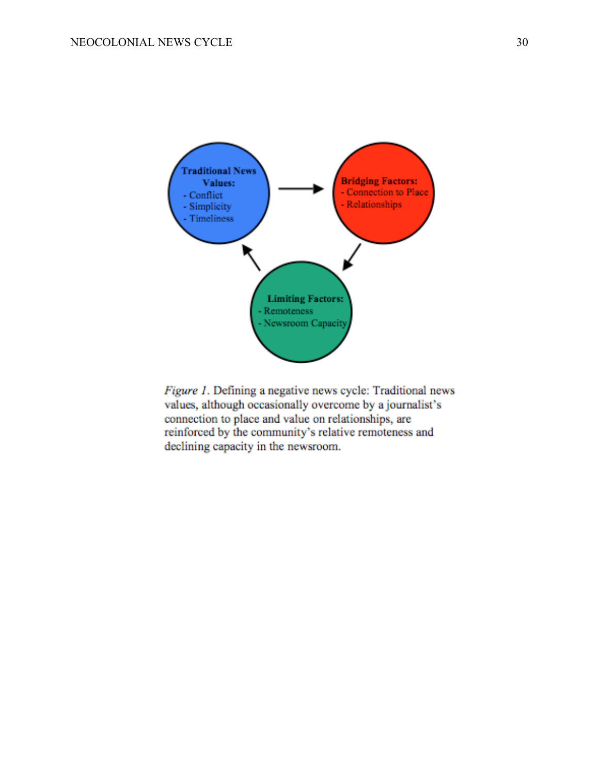

Figure 1. Defining a negative news cycle: Traditional news values, although occasionally overcome by a journalist's connection to place and value on relationships, are reinforced by the community's relative remoteness and declining capacity in the newsroom.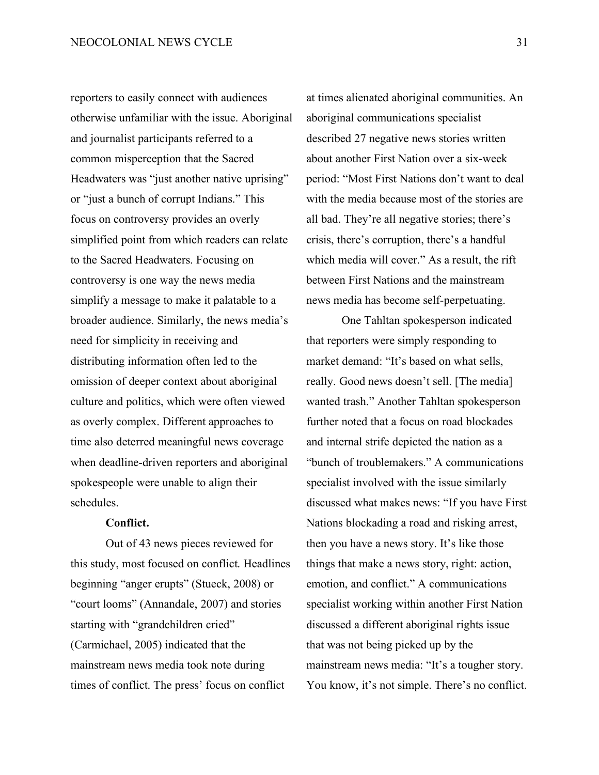reporters to easily connect with audiences otherwise unfamiliar with the issue. Aboriginal and journalist participants referred to a common misperception that the Sacred Headwaters was "just another native uprising" or "just a bunch of corrupt Indians." This focus on controversy provides an overly simplified point from which readers can relate to the Sacred Headwaters. Focusing on controversy is one way the news media simplify a message to make it palatable to a broader audience. Similarly, the news media's need for simplicity in receiving and distributing information often led to the omission of deeper context about aboriginal culture and politics, which were often viewed as overly complex. Different approaches to time also deterred meaningful news coverage when deadline-driven reporters and aboriginal spokespeople were unable to align their schedules.

### **Conflict.**

Out of 43 news pieces reviewed for this study, most focused on conflict. Headlines beginning "anger erupts" (Stueck, 2008) or "court looms" (Annandale, 2007) and stories starting with "grandchildren cried" (Carmichael, 2005) indicated that the mainstream news media took note during times of conflict. The press' focus on conflict

at times alienated aboriginal communities. An aboriginal communications specialist described 27 negative news stories written about another First Nation over a six-week period: "Most First Nations don't want to deal with the media because most of the stories are all bad. They're all negative stories; there's crisis, there's corruption, there's a handful which media will cover." As a result, the rift between First Nations and the mainstream news media has become self-perpetuating.

One Tahltan spokesperson indicated that reporters were simply responding to market demand: "It's based on what sells, really. Good news doesn't sell. [The media] wanted trash." Another Tahltan spokesperson further noted that a focus on road blockades and internal strife depicted the nation as a "bunch of troublemakers." A communications specialist involved with the issue similarly discussed what makes news: "If you have First Nations blockading a road and risking arrest, then you have a news story. It's like those things that make a news story, right: action, emotion, and conflict." A communications specialist working within another First Nation discussed a different aboriginal rights issue that was not being picked up by the mainstream news media: "It's a tougher story. You know, it's not simple. There's no conflict.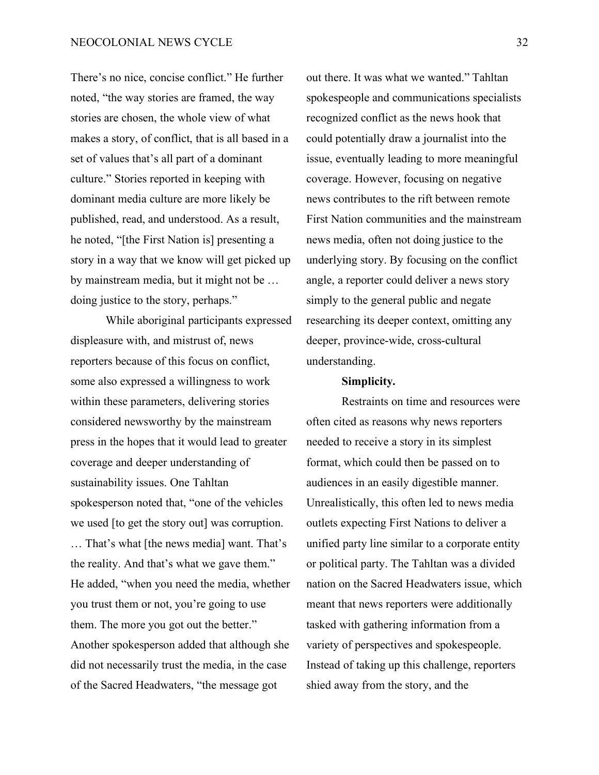There's no nice, concise conflict." He further noted, "the way stories are framed, the way stories are chosen, the whole view of what makes a story, of conflict, that is all based in a set of values that's all part of a dominant culture." Stories reported in keeping with dominant media culture are more likely be published, read, and understood. As a result, he noted, "[the First Nation is] presenting a story in a way that we know will get picked up by mainstream media, but it might not be … doing justice to the story, perhaps."

While aboriginal participants expressed displeasure with, and mistrust of, news reporters because of this focus on conflict, some also expressed a willingness to work within these parameters, delivering stories considered newsworthy by the mainstream press in the hopes that it would lead to greater coverage and deeper understanding of sustainability issues. One Tahltan spokesperson noted that, "one of the vehicles we used [to get the story out] was corruption. … That's what [the news media] want. That's the reality. And that's what we gave them." He added, "when you need the media, whether you trust them or not, you're going to use them. The more you got out the better." Another spokesperson added that although she did not necessarily trust the media, in the case of the Sacred Headwaters, "the message got

out there. It was what we wanted." Tahltan spokespeople and communications specialists recognized conflict as the news hook that could potentially draw a journalist into the issue, eventually leading to more meaningful coverage. However, focusing on negative news contributes to the rift between remote First Nation communities and the mainstream news media, often not doing justice to the underlying story. By focusing on the conflict angle, a reporter could deliver a news story simply to the general public and negate researching its deeper context, omitting any deeper, province-wide, cross-cultural understanding.

#### **Simplicity.**

Restraints on time and resources were often cited as reasons why news reporters needed to receive a story in its simplest format, which could then be passed on to audiences in an easily digestible manner. Unrealistically, this often led to news media outlets expecting First Nations to deliver a unified party line similar to a corporate entity or political party. The Tahltan was a divided nation on the Sacred Headwaters issue, which meant that news reporters were additionally tasked with gathering information from a variety of perspectives and spokespeople. Instead of taking up this challenge, reporters shied away from the story, and the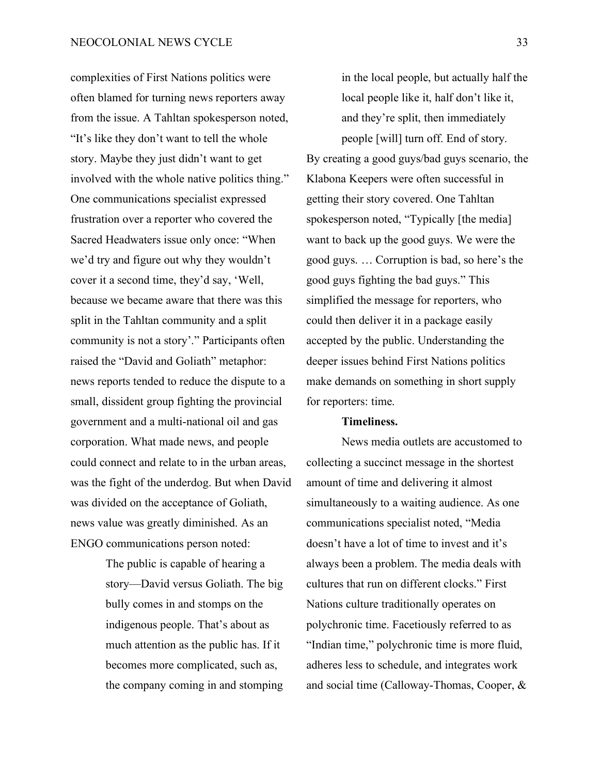complexities of First Nations politics were often blamed for turning news reporters away from the issue. A Tahltan spokesperson noted, "It's like they don't want to tell the whole story. Maybe they just didn't want to get involved with the whole native politics thing." One communications specialist expressed frustration over a reporter who covered the Sacred Headwaters issue only once: "When we'd try and figure out why they wouldn't cover it a second time, they'd say, 'Well, because we became aware that there was this split in the Tahltan community and a split community is not a story'." Participants often raised the "David and Goliath" metaphor: news reports tended to reduce the dispute to a small, dissident group fighting the provincial government and a multi-national oil and gas corporation. What made news, and people could connect and relate to in the urban areas, was the fight of the underdog. But when David was divided on the acceptance of Goliath, news value was greatly diminished. As an ENGO communications person noted:

> The public is capable of hearing a story—David versus Goliath. The big bully comes in and stomps on the indigenous people. That's about as much attention as the public has. If it becomes more complicated, such as, the company coming in and stomping

in the local people, but actually half the local people like it, half don't like it, and they're split, then immediately people [will] turn off. End of story. By creating a good guys/bad guys scenario, the Klabona Keepers were often successful in getting their story covered. One Tahltan spokesperson noted, "Typically [the media] want to back up the good guys. We were the good guys. … Corruption is bad, so here's the good guys fighting the bad guys." This simplified the message for reporters, who could then deliver it in a package easily accepted by the public. Understanding the deeper issues behind First Nations politics make demands on something in short supply for reporters: time.

#### **Timeliness.**

News media outlets are accustomed to collecting a succinct message in the shortest amount of time and delivering it almost simultaneously to a waiting audience. As one communications specialist noted, "Media doesn't have a lot of time to invest and it's always been a problem. The media deals with cultures that run on different clocks." First Nations culture traditionally operates on polychronic time. Facetiously referred to as "Indian time," polychronic time is more fluid, adheres less to schedule, and integrates work and social time (Calloway-Thomas, Cooper, &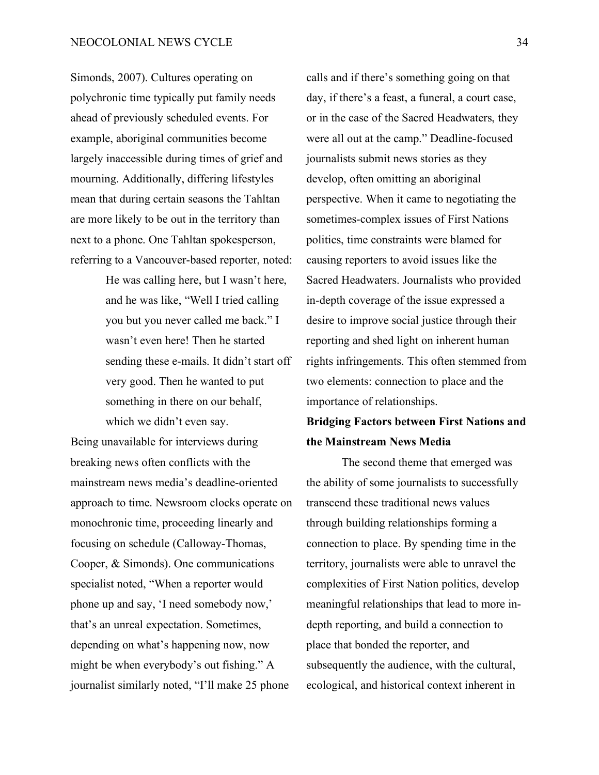Simonds, 2007). Cultures operating on polychronic time typically put family needs ahead of previously scheduled events. For example, aboriginal communities become largely inaccessible during times of grief and mourning. Additionally, differing lifestyles mean that during certain seasons the Tahltan are more likely to be out in the territory than next to a phone. One Tahltan spokesperson, referring to a Vancouver-based reporter, noted:

> He was calling here, but I wasn't here, and he was like, "Well I tried calling you but you never called me back." I wasn't even here! Then he started sending these e-mails. It didn't start off very good. Then he wanted to put something in there on our behalf, which we didn't even say.

Being unavailable for interviews during breaking news often conflicts with the mainstream news media's deadline-oriented approach to time. Newsroom clocks operate on monochronic time, proceeding linearly and focusing on schedule (Calloway-Thomas, Cooper, & Simonds). One communications specialist noted, "When a reporter would phone up and say, 'I need somebody now,' that's an unreal expectation. Sometimes, depending on what's happening now, now might be when everybody's out fishing." A journalist similarly noted, "I'll make 25 phone

calls and if there's something going on that day, if there's a feast, a funeral, a court case, or in the case of the Sacred Headwaters, they were all out at the camp." Deadline-focused journalists submit news stories as they develop, often omitting an aboriginal perspective. When it came to negotiating the sometimes-complex issues of First Nations politics, time constraints were blamed for causing reporters to avoid issues like the Sacred Headwaters. Journalists who provided in-depth coverage of the issue expressed a desire to improve social justice through their reporting and shed light on inherent human rights infringements. This often stemmed from two elements: connection to place and the importance of relationships.

## **Bridging Factors between First Nations and the Mainstream News Media**

The second theme that emerged was the ability of some journalists to successfully transcend these traditional news values through building relationships forming a connection to place. By spending time in the territory, journalists were able to unravel the complexities of First Nation politics, develop meaningful relationships that lead to more indepth reporting, and build a connection to place that bonded the reporter, and subsequently the audience, with the cultural, ecological, and historical context inherent in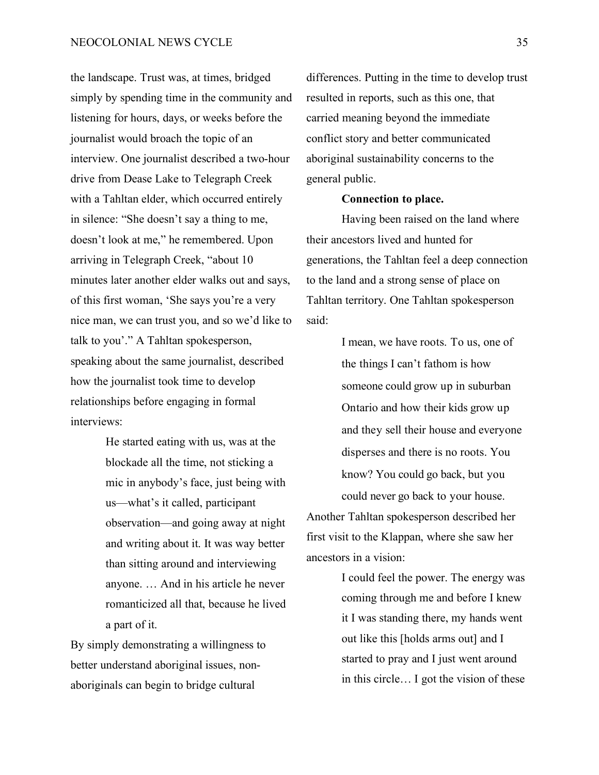the landscape. Trust was, at times, bridged simply by spending time in the community and listening for hours, days, or weeks before the journalist would broach the topic of an interview. One journalist described a two-hour drive from Dease Lake to Telegraph Creek with a Tahltan elder, which occurred entirely in silence: "She doesn't say a thing to me, doesn't look at me," he remembered. Upon arriving in Telegraph Creek, "about 10 minutes later another elder walks out and says, of this first woman, 'She says you're a very nice man, we can trust you, and so we'd like to talk to you'." A Tahltan spokesperson, speaking about the same journalist, described how the journalist took time to develop relationships before engaging in formal interviews:

> He started eating with us, was at the blockade all the time, not sticking a mic in anybody's face, just being with us—what's it called, participant observation—and going away at night and writing about it. It was way better than sitting around and interviewing anyone. … And in his article he never romanticized all that, because he lived a part of it.

By simply demonstrating a willingness to better understand aboriginal issues, nonaboriginals can begin to bridge cultural

differences. Putting in the time to develop trust resulted in reports, such as this one, that carried meaning beyond the immediate conflict story and better communicated aboriginal sustainability concerns to the general public.

#### **Connection to place.**

Having been raised on the land where their ancestors lived and hunted for generations, the Tahltan feel a deep connection to the land and a strong sense of place on Tahltan territory. One Tahltan spokesperson said:

> I mean, we have roots. To us, one of the things I can't fathom is how someone could grow up in suburban Ontario and how their kids grow up and they sell their house and everyone disperses and there is no roots. You know? You could go back, but you could never go back to your house.

Another Tahltan spokesperson described her first visit to the Klappan, where she saw her ancestors in a vision:

> I could feel the power. The energy was coming through me and before I knew it I was standing there, my hands went out like this [holds arms out] and I started to pray and I just went around in this circle… I got the vision of these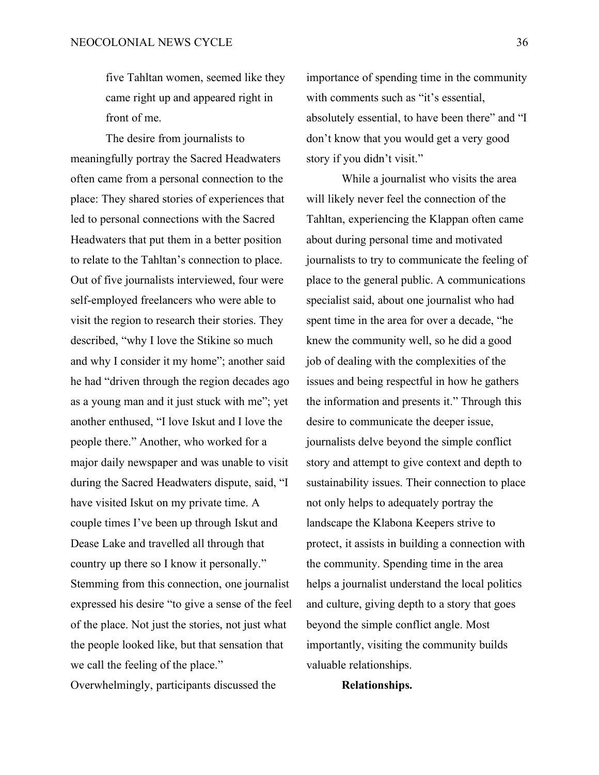five Tahltan women, seemed like they came right up and appeared right in front of me.

The desire from journalists to meaningfully portray the Sacred Headwaters often came from a personal connection to the place: They shared stories of experiences that led to personal connections with the Sacred Headwaters that put them in a better position to relate to the Tahltan's connection to place. Out of five journalists interviewed, four were self-employed freelancers who were able to visit the region to research their stories. They described, "why I love the Stikine so much and why I consider it my home"; another said he had "driven through the region decades ago as a young man and it just stuck with me"; yet another enthused, "I love Iskut and I love the people there." Another, who worked for a major daily newspaper and was unable to visit during the Sacred Headwaters dispute, said, "I have visited Iskut on my private time. A couple times I've been up through Iskut and Dease Lake and travelled all through that country up there so I know it personally." Stemming from this connection, one journalist expressed his desire "to give a sense of the feel of the place. Not just the stories, not just what the people looked like, but that sensation that we call the feeling of the place."

Overwhelmingly, participants discussed the

importance of spending time in the community with comments such as "it's essential, absolutely essential, to have been there" and "I don't know that you would get a very good story if you didn't visit."

While a journalist who visits the area will likely never feel the connection of the Tahltan, experiencing the Klappan often came about during personal time and motivated journalists to try to communicate the feeling of place to the general public. A communications specialist said, about one journalist who had spent time in the area for over a decade, "he knew the community well, so he did a good job of dealing with the complexities of the issues and being respectful in how he gathers the information and presents it." Through this desire to communicate the deeper issue, journalists delve beyond the simple conflict story and attempt to give context and depth to sustainability issues. Their connection to place not only helps to adequately portray the landscape the Klabona Keepers strive to protect, it assists in building a connection with the community. Spending time in the area helps a journalist understand the local politics and culture, giving depth to a story that goes beyond the simple conflict angle. Most importantly, visiting the community builds valuable relationships.

**Relationships.**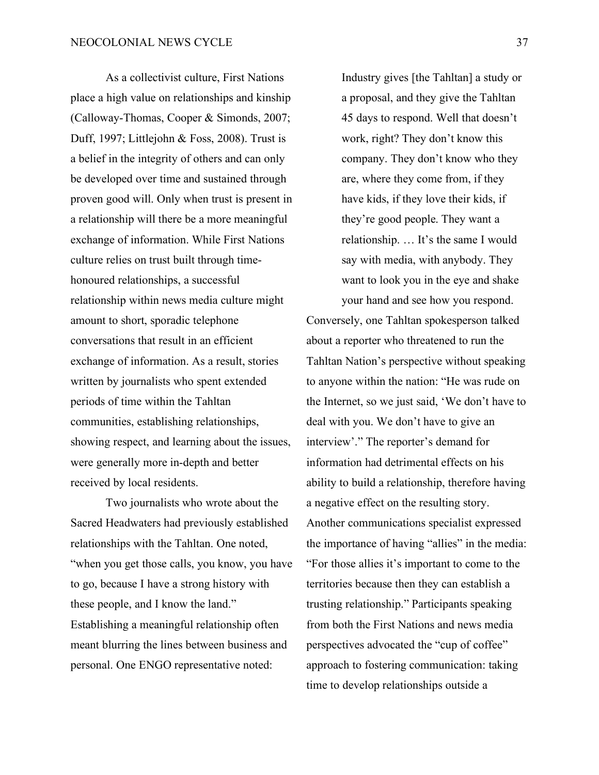As a collectivist culture, First Nations place a high value on relationships and kinship (Calloway-Thomas, Cooper & Simonds, 2007; Duff, 1997; Littlejohn & Foss, 2008). Trust is a belief in the integrity of others and can only be developed over time and sustained through proven good will. Only when trust is present in a relationship will there be a more meaningful exchange of information. While First Nations culture relies on trust built through timehonoured relationships, a successful relationship within news media culture might amount to short, sporadic telephone conversations that result in an efficient exchange of information. As a result, stories written by journalists who spent extended periods of time within the Tahltan communities, establishing relationships, showing respect, and learning about the issues, were generally more in-depth and better received by local residents.

Two journalists who wrote about the Sacred Headwaters had previously established relationships with the Tahltan. One noted, "when you get those calls, you know, you have to go, because I have a strong history with these people, and I know the land." Establishing a meaningful relationship often meant blurring the lines between business and personal. One ENGO representative noted:

Industry gives [the Tahltan] a study or a proposal, and they give the Tahltan 45 days to respond. Well that doesn't work, right? They don't know this company. They don't know who they are, where they come from, if they have kids, if they love their kids, if they're good people. They want a relationship. … It's the same I would say with media, with anybody. They want to look you in the eye and shake your hand and see how you respond.

Conversely, one Tahltan spokesperson talked about a reporter who threatened to run the Tahltan Nation's perspective without speaking to anyone within the nation: "He was rude on the Internet, so we just said, 'We don't have to deal with you. We don't have to give an interview'." The reporter's demand for information had detrimental effects on his ability to build a relationship, therefore having a negative effect on the resulting story. Another communications specialist expressed the importance of having "allies" in the media: "For those allies it's important to come to the territories because then they can establish a trusting relationship." Participants speaking from both the First Nations and news media perspectives advocated the "cup of coffee" approach to fostering communication: taking time to develop relationships outside a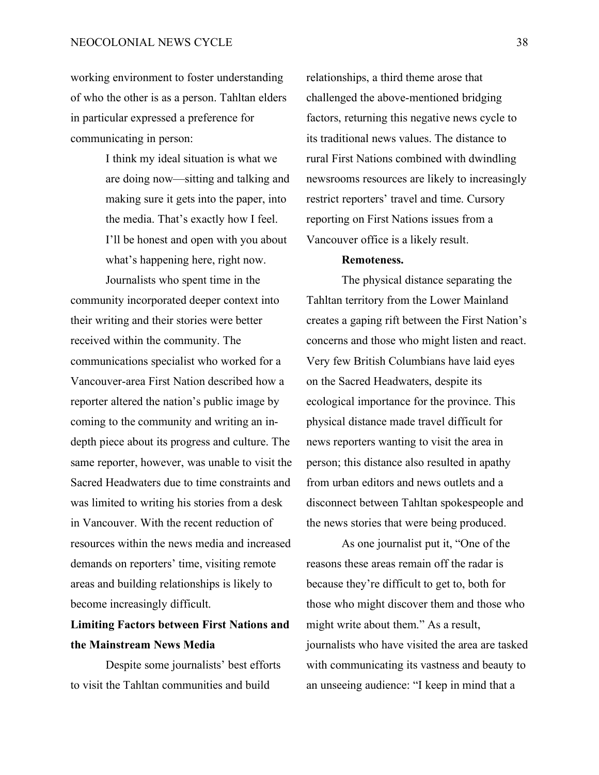working environment to foster understanding of who the other is as a person. Tahltan elders in particular expressed a preference for communicating in person:

> I think my ideal situation is what we are doing now—sitting and talking and making sure it gets into the paper, into the media. That's exactly how I feel. I'll be honest and open with you about what's happening here, right now.

Journalists who spent time in the community incorporated deeper context into their writing and their stories were better received within the community. The communications specialist who worked for a Vancouver-area First Nation described how a reporter altered the nation's public image by coming to the community and writing an indepth piece about its progress and culture. The same reporter, however, was unable to visit the Sacred Headwaters due to time constraints and was limited to writing his stories from a desk in Vancouver. With the recent reduction of resources within the news media and increased demands on reporters' time, visiting remote areas and building relationships is likely to become increasingly difficult.

## **Limiting Factors between First Nations and the Mainstream News Media**

Despite some journalists' best efforts to visit the Tahltan communities and build

relationships, a third theme arose that challenged the above-mentioned bridging factors, returning this negative news cycle to its traditional news values. The distance to rural First Nations combined with dwindling newsrooms resources are likely to increasingly restrict reporters' travel and time. Cursory reporting on First Nations issues from a Vancouver office is a likely result.

## **Remoteness.**

The physical distance separating the Tahltan territory from the Lower Mainland creates a gaping rift between the First Nation's concerns and those who might listen and react. Very few British Columbians have laid eyes on the Sacred Headwaters, despite its ecological importance for the province. This physical distance made travel difficult for news reporters wanting to visit the area in person; this distance also resulted in apathy from urban editors and news outlets and a disconnect between Tahltan spokespeople and the news stories that were being produced.

As one journalist put it, "One of the reasons these areas remain off the radar is because they're difficult to get to, both for those who might discover them and those who might write about them." As a result, journalists who have visited the area are tasked with communicating its vastness and beauty to an unseeing audience: "I keep in mind that a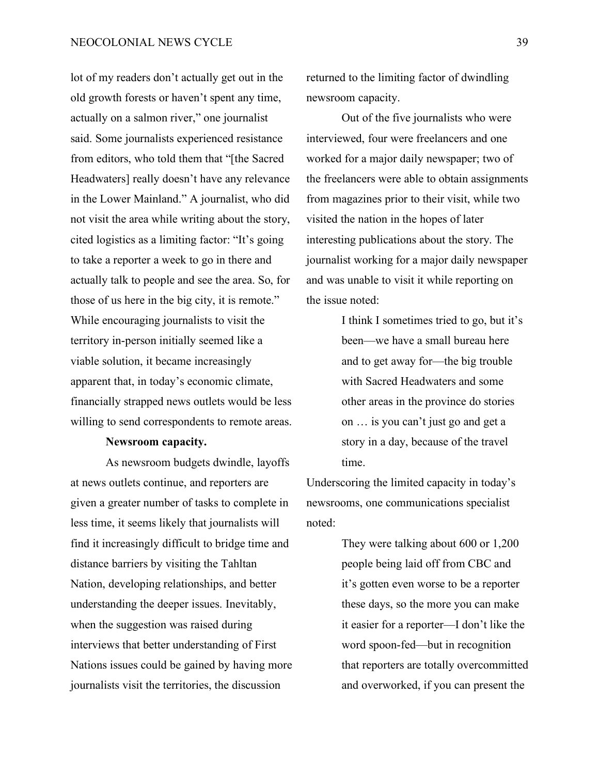lot of my readers don't actually get out in the old growth forests or haven't spent any time, actually on a salmon river," one journalist said. Some journalists experienced resistance from editors, who told them that "[the Sacred Headwaters] really doesn't have any relevance in the Lower Mainland." A journalist, who did not visit the area while writing about the story, cited logistics as a limiting factor: "It's going to take a reporter a week to go in there and actually talk to people and see the area. So, for those of us here in the big city, it is remote." While encouraging journalists to visit the territory in-person initially seemed like a viable solution, it became increasingly apparent that, in today's economic climate, financially strapped news outlets would be less willing to send correspondents to remote areas.

#### **Newsroom capacity.**

As newsroom budgets dwindle, layoffs at news outlets continue, and reporters are given a greater number of tasks to complete in less time, it seems likely that journalists will find it increasingly difficult to bridge time and distance barriers by visiting the Tahltan Nation, developing relationships, and better understanding the deeper issues. Inevitably, when the suggestion was raised during interviews that better understanding of First Nations issues could be gained by having more journalists visit the territories, the discussion

returned to the limiting factor of dwindling newsroom capacity.

Out of the five journalists who were interviewed, four were freelancers and one worked for a major daily newspaper; two of the freelancers were able to obtain assignments from magazines prior to their visit, while two visited the nation in the hopes of later interesting publications about the story. The journalist working for a major daily newspaper and was unable to visit it while reporting on the issue noted:

> I think I sometimes tried to go, but it's been—we have a small bureau here and to get away for—the big trouble with Sacred Headwaters and some other areas in the province do stories on … is you can't just go and get a story in a day, because of the travel time.

Underscoring the limited capacity in today's newsrooms, one communications specialist noted:

> They were talking about 600 or 1,200 people being laid off from CBC and it's gotten even worse to be a reporter these days, so the more you can make it easier for a reporter—I don't like the word spoon-fed—but in recognition that reporters are totally overcommitted and overworked, if you can present the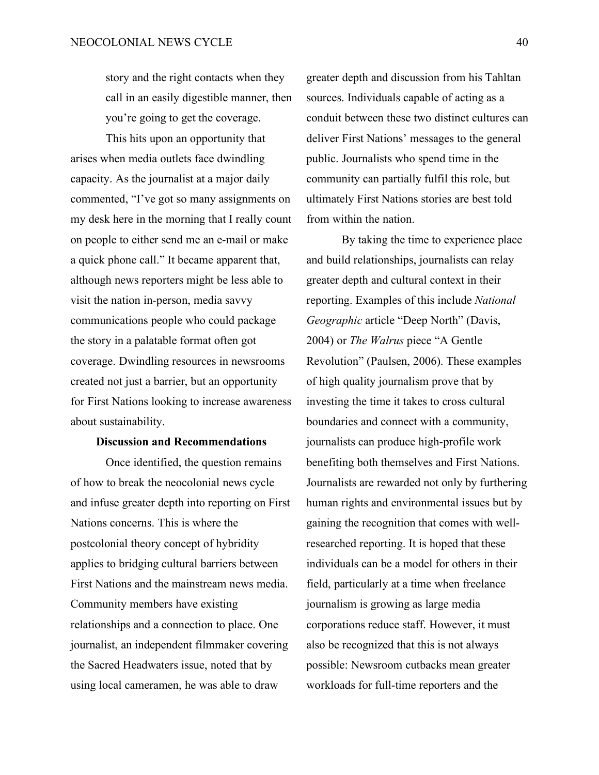story and the right contacts when they call in an easily digestible manner, then you're going to get the coverage.

This hits upon an opportunity that arises when media outlets face dwindling capacity. As the journalist at a major daily commented, "I've got so many assignments on my desk here in the morning that I really count on people to either send me an e-mail or make a quick phone call." It became apparent that, although news reporters might be less able to visit the nation in-person, media savvy communications people who could package the story in a palatable format often got coverage. Dwindling resources in newsrooms created not just a barrier, but an opportunity for First Nations looking to increase awareness about sustainability.

## **Discussion and Recommendations**

Once identified, the question remains of how to break the neocolonial news cycle and infuse greater depth into reporting on First Nations concerns. This is where the postcolonial theory concept of hybridity applies to bridging cultural barriers between First Nations and the mainstream news media. Community members have existing relationships and a connection to place. One journalist, an independent filmmaker covering the Sacred Headwaters issue, noted that by using local cameramen, he was able to draw

greater depth and discussion from his Tahltan sources. Individuals capable of acting as a conduit between these two distinct cultures can deliver First Nations' messages to the general public. Journalists who spend time in the community can partially fulfil this role, but ultimately First Nations stories are best told from within the nation.

By taking the time to experience place and build relationships, journalists can relay greater depth and cultural context in their reporting. Examples of this include *National Geographic* article "Deep North" (Davis, 2004) or *The Walrus* piece "A Gentle Revolution" (Paulsen, 2006). These examples of high quality journalism prove that by investing the time it takes to cross cultural boundaries and connect with a community, journalists can produce high-profile work benefiting both themselves and First Nations. Journalists are rewarded not only by furthering human rights and environmental issues but by gaining the recognition that comes with wellresearched reporting. It is hoped that these individuals can be a model for others in their field, particularly at a time when freelance journalism is growing as large media corporations reduce staff. However, it must also be recognized that this is not always possible: Newsroom cutbacks mean greater workloads for full-time reporters and the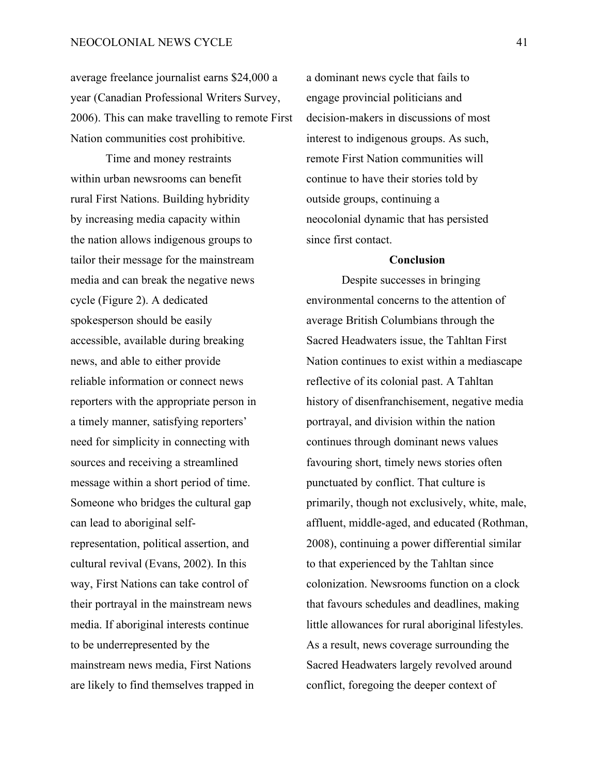average freelance journalist earns \$24,000 a year (Canadian Professional Writers Survey, 2006). This can make travelling to remote First Nation communities cost prohibitive.

Time and money restraints within urban newsrooms can benefit rural First Nations. Building hybridity by increasing media capacity within the nation allows indigenous groups to tailor their message for the mainstream media and can break the negative news cycle (Figure 2). A dedicated spokesperson should be easily accessible, available during breaking news, and able to either provide reliable information or connect news reporters with the appropriate person in a timely manner, satisfying reporters' need for simplicity in connecting with sources and receiving a streamlined message within a short period of time. Someone who bridges the cultural gap can lead to aboriginal selfrepresentation, political assertion, and cultural revival (Evans, 2002). In this way, First Nations can take control of their portrayal in the mainstream news media. If aboriginal interests continue to be underrepresented by the mainstream news media, First Nations are likely to find themselves trapped in

a dominant news cycle that fails to engage provincial politicians and decision-makers in discussions of most interest to indigenous groups. As such, remote First Nation communities will continue to have their stories told by outside groups, continuing a neocolonial dynamic that has persisted since first contact.

### **Conclusion**

Despite successes in bringing environmental concerns to the attention of average British Columbians through the Sacred Headwaters issue, the Tahltan First Nation continues to exist within a mediascape reflective of its colonial past. A Tahltan history of disenfranchisement, negative media portrayal, and division within the nation continues through dominant news values favouring short, timely news stories often punctuated by conflict. That culture is primarily, though not exclusively, white, male, affluent, middle-aged, and educated (Rothman, 2008), continuing a power differential similar to that experienced by the Tahltan since colonization. Newsrooms function on a clock that favours schedules and deadlines, making little allowances for rural aboriginal lifestyles. As a result, news coverage surrounding the Sacred Headwaters largely revolved around conflict, foregoing the deeper context of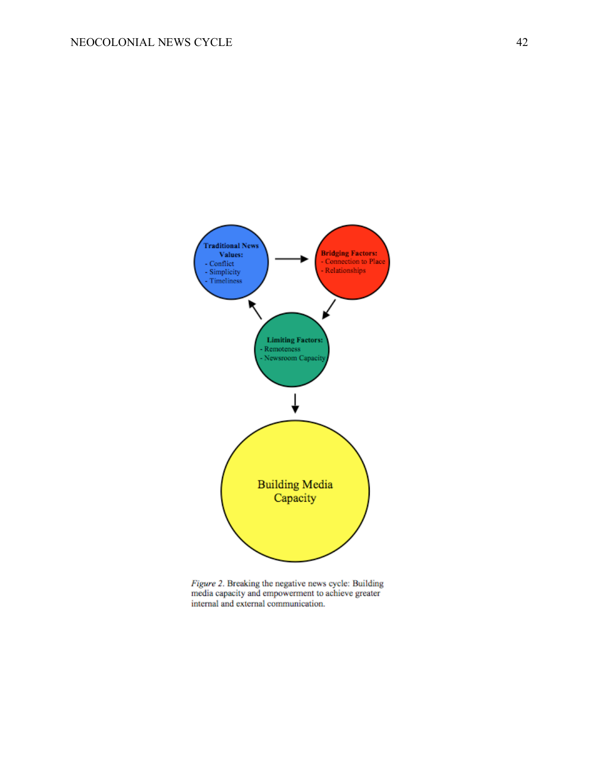

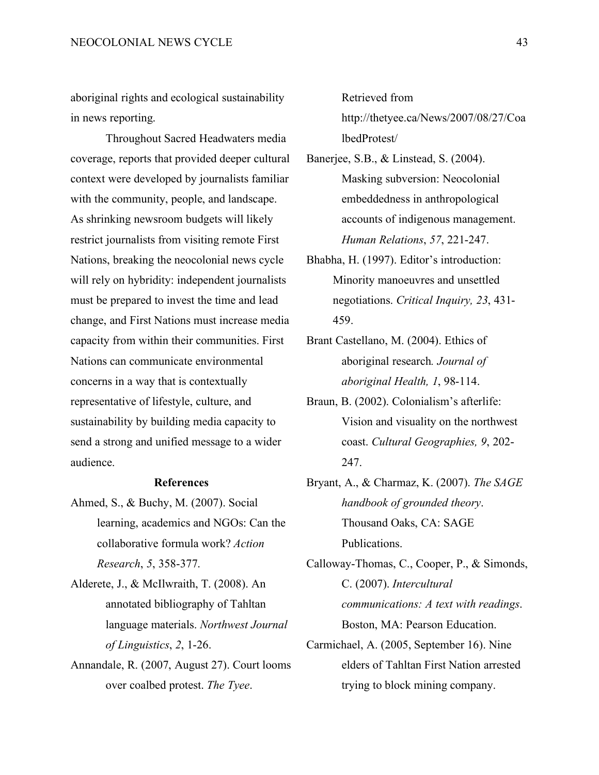aboriginal rights and ecological sustainability in news reporting.

Throughout Sacred Headwaters media coverage, reports that provided deeper cultural context were developed by journalists familiar with the community, people, and landscape. As shrinking newsroom budgets will likely restrict journalists from visiting remote First Nations, breaking the neocolonial news cycle will rely on hybridity: independent journalists must be prepared to invest the time and lead change, and First Nations must increase media capacity from within their communities. First Nations can communicate environmental concerns in a way that is contextually representative of lifestyle, culture, and sustainability by building media capacity to send a strong and unified message to a wider audience.

#### **References**

- Ahmed, S., & Buchy, M. (2007). Social learning, academics and NGOs: Can the collaborative formula work? *Action Research*, *5*, 358-377.
- Alderete, J., & McIlwraith, T. (2008). An annotated bibliography of Tahltan language materials. *Northwest Journal of Linguistics*, *2*, 1-26.
- Annandale, R. (2007, August 27). Court looms over coalbed protest. *The Tyee*.

Retrieved from

http://thetyee.ca/News/2007/08/27/Coa lbedProtest/

- Banerjee, S.B., & Linstead, S. (2004). Masking subversion: Neocolonial embeddedness in anthropological accounts of indigenous management. *Human Relations*, *57*, 221-247.
- Bhabha, H. (1997). Editor's introduction: Minority manoeuvres and unsettled negotiations. *Critical Inquiry, 23*, 431- 459.
- Brant Castellano, M. (2004). Ethics of aboriginal research*. Journal of aboriginal Health, 1*, 98-114.
- Braun, B. (2002). Colonialism's afterlife: Vision and visuality on the northwest coast. *Cultural Geographies, 9*, 202- 247.
- Bryant, A., & Charmaz, K. (2007). *The SAGE handbook of grounded theory*. Thousand Oaks, CA: SAGE Publications.

Calloway-Thomas, C., Cooper, P., & Simonds, C. (2007). *Intercultural communications: A text with readings*. Boston, MA: Pearson Education.

Carmichael, A. (2005, September 16). Nine elders of Tahltan First Nation arrested trying to block mining company.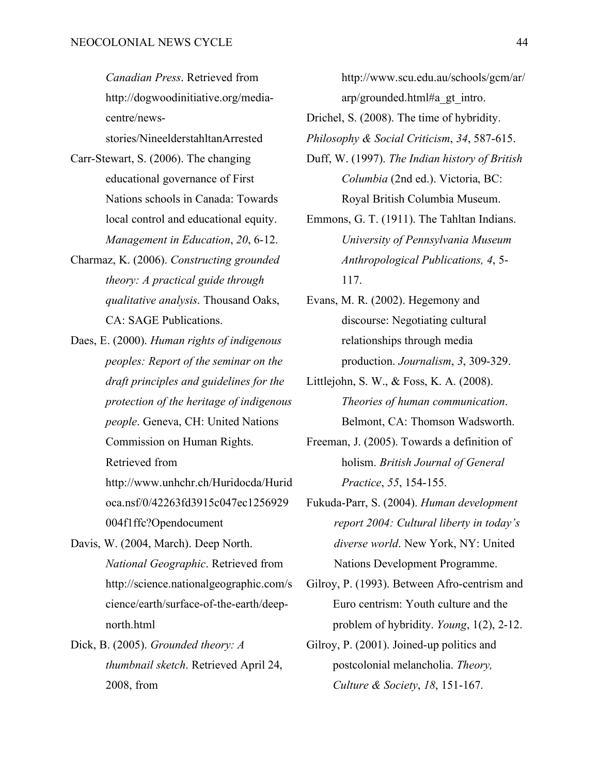*Canadian Press*. Retrieved from http://dogwoodinitiative.org/mediacentre/news-

stories/NineelderstahltanArrested

- Carr-Stewart, S. (2006). The changing educational governance of First Nations schools in Canada: Towards local control and educational equity. *Management in Education*, *20*, 6-12.
- Charmaz, K. (2006). *Constructing grounded theory: A practical guide through qualitative analysis*. Thousand Oaks, CA: SAGE Publications.
- Daes, E. (2000). *Human rights of indigenous peoples: Report of the seminar on the draft principles and guidelines for the protection of the heritage of indigenous people*. Geneva, CH: United Nations Commission on Human Rights.

Retrieved from

http://www.unhchr.ch/Huridocda/Hurid oca.nsf/0/42263fd3915c047ec1256929 004f1ffc?Opendocument

- Davis, W. (2004, March). Deep North. *National Geographic*. Retrieved from http://science.nationalgeographic.com/s cience/earth/surface-of-the-earth/deepnorth.html
- Dick, B. (2005). *Grounded theory: A thumbnail sketch*. Retrieved April 24, 2008, from

http://www.scu.edu.au/schools/gcm/ar/ arp/grounded.html#a\_gt\_intro.

- Drichel, S. (2008). The time of hybridity.
- *Philosophy & Social Criticism*, *34*, 587-615.
- Duff, W. (1997). *The Indian history of British Columbia* (2nd ed.). Victoria, BC: Royal British Columbia Museum.
- Emmons, G. T. (1911). The Tahltan Indians. *University of Pennsylvania Museum Anthropological Publications, 4*, 5- 117.
- Evans, M. R. (2002). Hegemony and discourse: Negotiating cultural relationships through media production. *Journalism*, *3*, 309-329.
- Littlejohn, S. W., & Foss, K. A. (2008). *Theories of human communication*. Belmont, CA: Thomson Wadsworth.
- Freeman, J. (2005). Towards a definition of holism. *British Journal of General Practice*, *55*, 154-155.
- Fukuda-Parr, S. (2004). *Human development report 2004: Cultural liberty in today's diverse world*. New York, NY: United Nations Development Programme.
- Gilroy, P. (1993). Between Afro-centrism and Euro centrism: Youth culture and the problem of hybridity. *Young*, 1(2), 2-12.
- Gilroy, P. (2001). Joined-up politics and postcolonial melancholia. *Theory, Culture & Society*, *18*, 151-167.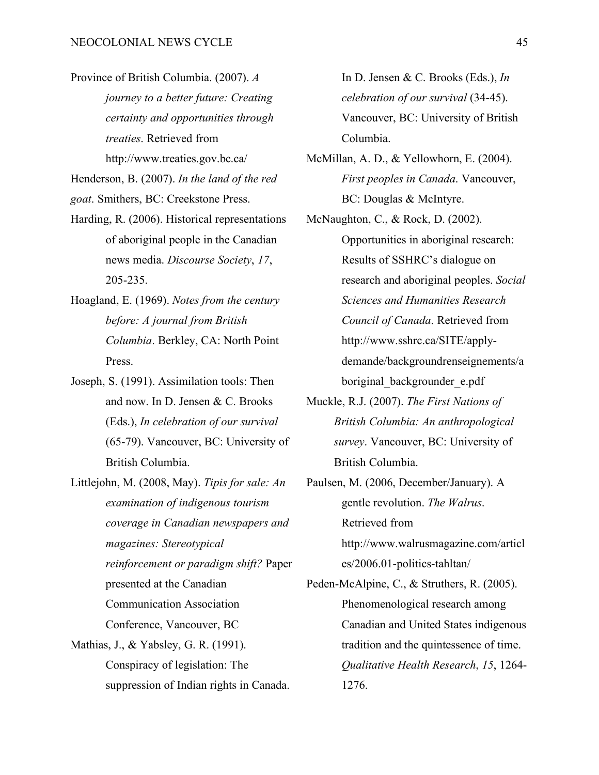Province of British Columbia. (2007). *A journey to a better future: Creating certainty and opportunities through treaties*. Retrieved from http://www.treaties.gov.bc.ca/

Henderson, B. (2007). *In the land of the red* 

*goat*. Smithers, BC: Creekstone Press.

- Harding, R. (2006). Historical representations of aboriginal people in the Canadian news media. *Discourse Society*, *17*, 205-235.
- Hoagland, E. (1969). *Notes from the century before: A journal from British Columbia*. Berkley, CA: North Point Press.
- Joseph, S. (1991). Assimilation tools: Then and now. In D. Jensen & C. Brooks (Eds.), *In celebration of our survival* (65-79). Vancouver, BC: University of British Columbia.
- Littlejohn, M. (2008, May). *Tipis for sale: An examination of indigenous tourism coverage in Canadian newspapers and magazines: Stereotypical reinforcement or paradigm shift?* Paper presented at the Canadian Communication Association Conference, Vancouver, BC Mathias, J., & Yabsley, G. R. (1991).
	- Conspiracy of legislation: The suppression of Indian rights in Canada.

In D. Jensen & C. Brooks (Eds.), *In celebration of our survival* (34-45). Vancouver, BC: University of British Columbia.

- McMillan, A. D., & Yellowhorn, E. (2004). *First peoples in Canada*. Vancouver, BC: Douglas & McIntyre.
- McNaughton, C., & Rock, D. (2002). Opportunities in aboriginal research: Results of SSHRC's dialogue on research and aboriginal peoples. *Social Sciences and Humanities Research Council of Canada*. Retrieved from http://www.sshrc.ca/SITE/applydemande/backgroundrenseignements/a boriginal\_backgrounder\_e.pdf
- Muckle, R.J. (2007). *The First Nations of British Columbia: An anthropological survey*. Vancouver, BC: University of British Columbia.
- Paulsen, M. (2006, December/January). A gentle revolution. *The Walrus*. Retrieved from http://www.walrusmagazine.com/articl

es/2006.01-politics-tahltan/

Peden-McAlpine, C., & Struthers, R. (2005). Phenomenological research among Canadian and United States indigenous tradition and the quintessence of time. *Qualitative Health Research*, *15*, 1264- 1276.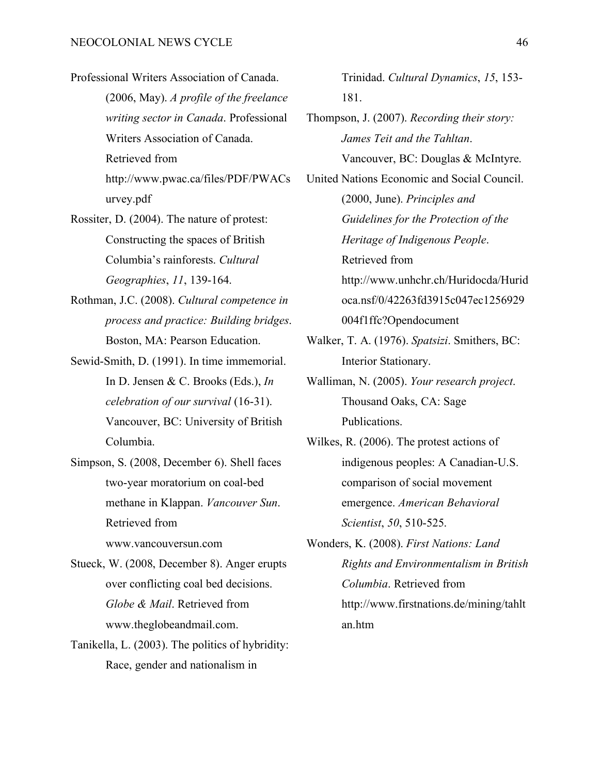- Professional Writers Association of Canada. (2006, May). *A profile of the freelance writing sector in Canada*. Professional Writers Association of Canada. Retrieved from http://www.pwac.ca/files/PDF/PWACs urvey.pdf
- Rossiter, D. (2004). The nature of protest: Constructing the spaces of British Columbia's rainforests. *Cultural Geographies*, *11*, 139-164.
- Rothman, J.C. (2008). *Cultural competence in process and practice: Building bridges*. Boston, MA: Pearson Education.
- Sewid-Smith, D. (1991). In time immemorial. In D. Jensen & C. Brooks (Eds.), *In celebration of our survival* (16-31). Vancouver, BC: University of British Columbia.
- Simpson, S. (2008, December 6). Shell faces two-year moratorium on coal-bed methane in Klappan. *Vancouver Sun*. Retrieved from www.vancouversun.com
- Stueck, W. (2008, December 8). Anger erupts over conflicting coal bed decisions. *Globe & Mail*. Retrieved from www.theglobeandmail.com.
- Tanikella, L. (2003). The politics of hybridity: Race, gender and nationalism in

Trinidad. *Cultural Dynamics*, *15*, 153- 181.

- Thompson, J. (2007). *Recording their story: James Teit and the Tahltan*. Vancouver, BC: Douglas & McIntyre.
- United Nations Economic and Social Council. (2000, June). *Principles and Guidelines for the Protection of the Heritage of Indigenous People*. Retrieved from http://www.unhchr.ch/Huridocda/Hurid oca.nsf/0/42263fd3915c047ec1256929
	- 004f1ffc?Opendocument
- Walker, T. A. (1976). *Spatsizi*. Smithers, BC: Interior Stationary.
- Walliman, N. (2005). *Your research project*. Thousand Oaks, CA: Sage Publications.
- Wilkes, R. (2006). The protest actions of indigenous peoples: A Canadian-U.S. comparison of social movement emergence. *American Behavioral Scientist*, *50*, 510-525.
- Wonders, K. (2008). *First Nations: Land Rights and Environmentalism in British Columbia*. Retrieved from http://www.firstnations.de/mining/tahlt an.htm